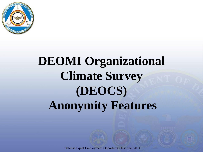

# **DEOMI Organizational Climate Survey (DEOCS) Anonymity Features**

Defense Equal Employment Opportunity Institute, 2014

1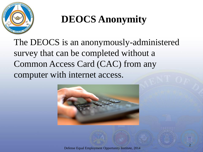

The DEOCS is an anonymously-administered survey that can be completed without a Common Access Card (CAC) from any computer with internet access.

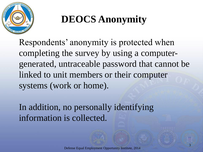

Respondents' anonymity is protected when completing the survey by using a computergenerated, untraceable password that cannot be linked to unit members or their computer systems (work or home).

In addition, no personally identifying information is collected.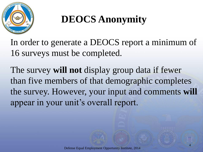

In order to generate a DEOCS report a minimum of 16 surveys must be completed.

The survey **will not** display group data if fewer than five members of that demographic completes the survey. However, your input and comments **will** appear in your unit's overall report.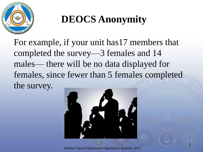

For example, if your unit has17 members that completed the survey—3 females and 14 males— there will be no data displayed for females, since fewer than 5 females completed the survey.



Defense Equal Employment Opportunity Institute, 2014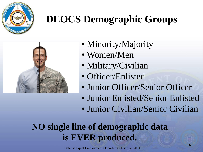

## **DEOCS Demographic Groups**



- Minority/Majority
- Women/Men
- Military/Civilian
- Officer/Enlisted
- Junior Officer/Senior Officer
- Junior Enlisted/Senior Enlisted
- Junior Civilian/Senior Civilian

#### **NO single line of demographic data is EVER produced.**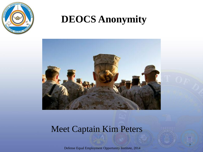



#### Meet Captain Kim Peters

Defense Equal Employment Opportunity Institute, 2014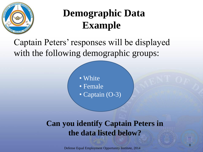

### **Demographic Data Example**

#### Captain Peters' responses will be displayed with the following demographic groups:

• White

- Female
- Captain (O-3)

#### **Can you identify Captain Peters in the data listed below?**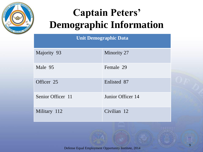

## **Captain Peters' Demographic Information**

#### **Unit Demographic Data**

| Majority 93       | Minority 27       |
|-------------------|-------------------|
| Male 95           | Female 29         |
| Officer 25        | Enlisted 87       |
| Senior Officer 11 | Junior Officer 14 |
| Military 112      | Civilian 12       |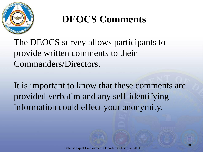

#### **DEOCS Comments**

The DEOCS survey allows participants to provide written comments to their Commanders/Directors.

It is important to know that these comments are provided verbatim and any self-identifying information could effect your anonymity.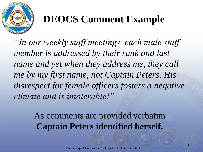

## **DEOCS Comment Example**

*"In our weekly staff meetings, each male staff member is addressed by their rank and last name and yet when they address me, they call me by my first name, not Captain Peters. His disrespect for female officers fosters a negative climate and is intolerable!"*

> As comments are provided verbatim **Captain Peters identified herself.**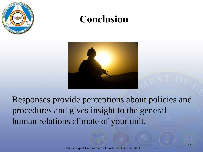

#### **Conclusion**



Responses provide perceptions about policies and procedures and gives insight to the general human relations climate of your unit.